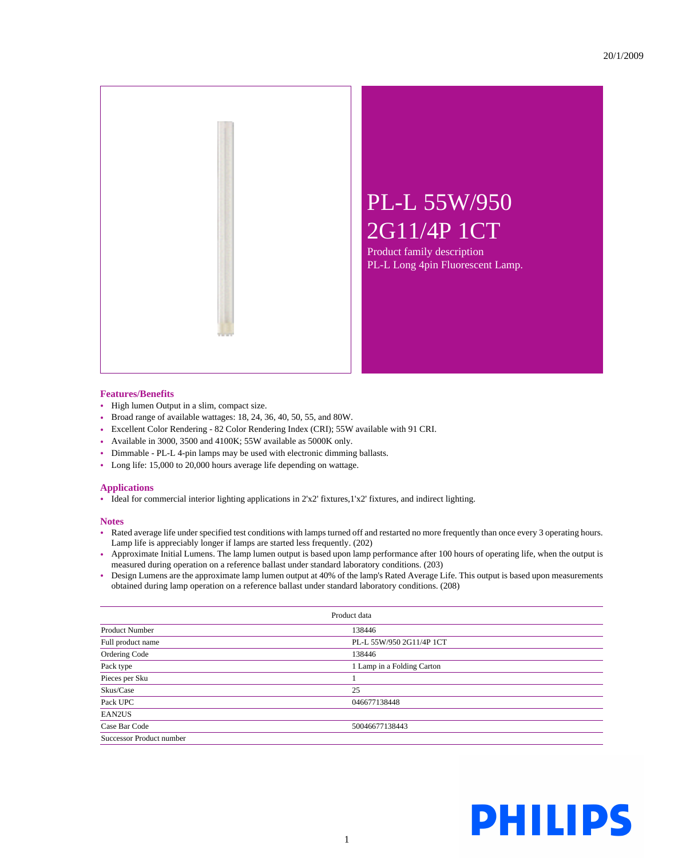

Product family description PL-L Long 4pin Fluorescent Lamp.

## **Features/Benefits**

- High lumen Output in a slim, compact size.
- Broad range of available wattages: 18, 24, 36, 40, 50, 55, and 80W.
- Excellent Color Rendering 82 Color Rendering Index (CRI); 55W available with 91 CRI.
- Available in 3000, 3500 and 4100K; 55W available as 5000K only.
- Dimmable PL-L 4-pin lamps may be used with electronic dimming ballasts.
- Long life: 15,000 to 20,000 hours average life depending on wattage.

## **Applications**

• Ideal for commercial interior lighting applications in 2'x2' fixtures,1'x2' fixtures, and indirect lighting.

## **Notes**

- Rated average life under specified test conditions with lamps turned off and restarted no more frequently than once every 3 operating hours. Lamp life is appreciably longer if lamps are started less frequently. (202)
- Approximate Initial Lumens. The lamp lumen output is based upon lamp performance after 100 hours of operating life, when the output is measured during operation on a reference ballast under standard laboratory conditions. (203)
- Design Lumens are the approximate lamp lumen output at 40% of the lamp's Rated Average Life. This output is based upon measurements obtained during lamp operation on a reference ballast under standard laboratory conditions. (208)

| Product data             |                            |  |  |  |
|--------------------------|----------------------------|--|--|--|
| <b>Product Number</b>    | 138446                     |  |  |  |
| Full product name        | PL-L 55W/950 2G11/4P 1CT   |  |  |  |
| Ordering Code            | 138446                     |  |  |  |
| Pack type                | 1 Lamp in a Folding Carton |  |  |  |
| Pieces per Sku           |                            |  |  |  |
| Skus/Case                | 25                         |  |  |  |
| Pack UPC                 | 046677138448               |  |  |  |
| EAN2US                   |                            |  |  |  |
| Case Bar Code            | 50046677138443             |  |  |  |
| Successor Product number |                            |  |  |  |

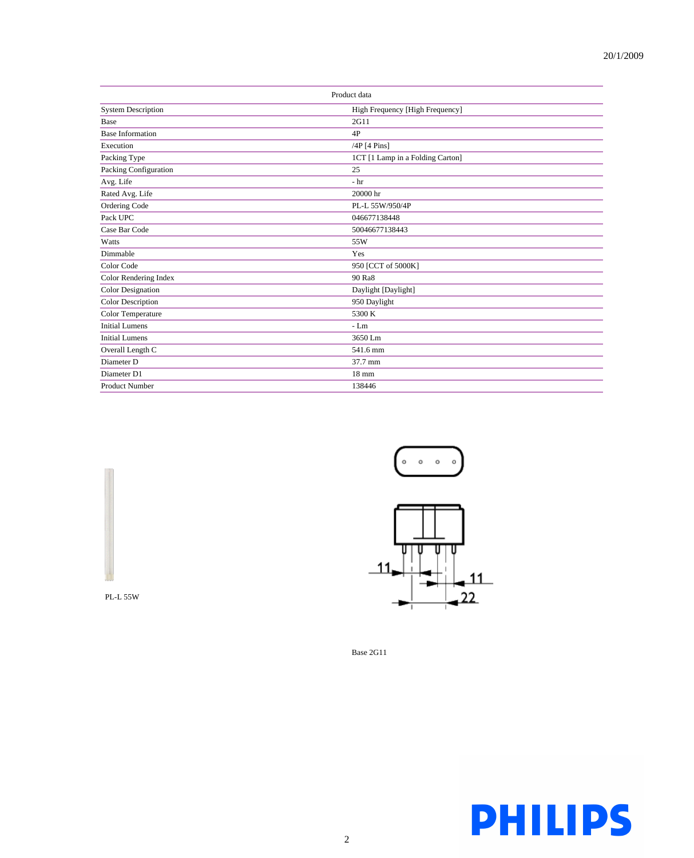| Product data              |                                  |  |  |  |
|---------------------------|----------------------------------|--|--|--|
| <b>System Description</b> | High Frequency [High Frequency]  |  |  |  |
| Base                      | 2G11                             |  |  |  |
| <b>Base Information</b>   | 4P                               |  |  |  |
| Execution                 | $/4P$ [4 Pins]                   |  |  |  |
| Packing Type              | 1CT [1 Lamp in a Folding Carton] |  |  |  |
| Packing Configuration     | 25                               |  |  |  |
| Avg. Life                 | $-h$                             |  |  |  |
| Rated Avg. Life           | 20000 hr                         |  |  |  |
| Ordering Code             | PL-L 55W/950/4P                  |  |  |  |
| Pack UPC                  | 046677138448                     |  |  |  |
| Case Bar Code             | 50046677138443                   |  |  |  |
| Watts                     | 55W                              |  |  |  |
| Dimmable                  | Yes                              |  |  |  |
| Color Code                | 950 [CCT of 5000K]               |  |  |  |
| Color Rendering Index     | 90 Ra8                           |  |  |  |
| <b>Color Designation</b>  | Daylight [Daylight]              |  |  |  |
| <b>Color Description</b>  | 950 Daylight                     |  |  |  |
| Color Temperature         | 5300 K                           |  |  |  |
| <b>Initial Lumens</b>     | $-Lm$                            |  |  |  |
| <b>Initial Lumens</b>     | 3650 Lm                          |  |  |  |
| Overall Length C          | 541.6 mm                         |  |  |  |
| Diameter D                | 37.7 mm                          |  |  |  |
| Diameter D1               | $18 \text{ mm}$                  |  |  |  |
| <b>Product Number</b>     | 138446                           |  |  |  |





Base 2G11



PL-L 55W